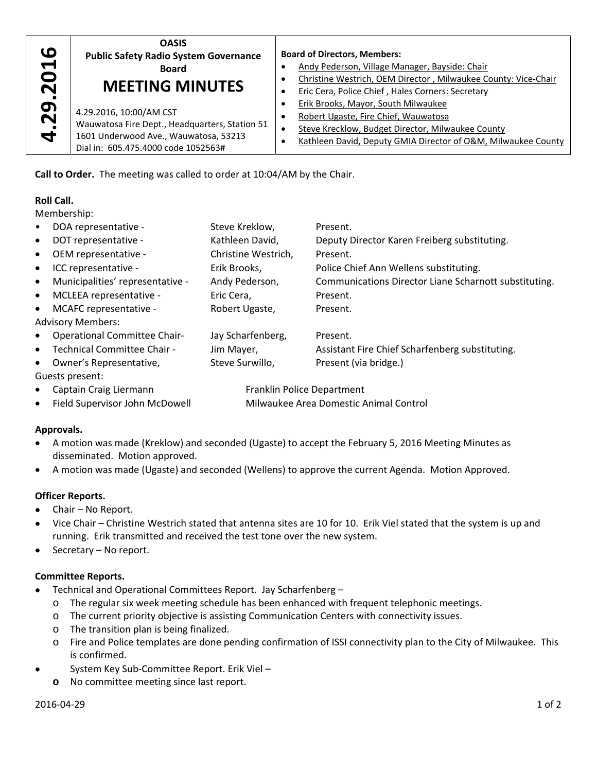| ဖ                    | <b>OASIS</b>                                                                                                                                              | <b>Board of Directors, Members:</b>                                                                                                                                                               |  |  |
|----------------------|-----------------------------------------------------------------------------------------------------------------------------------------------------------|---------------------------------------------------------------------------------------------------------------------------------------------------------------------------------------------------|--|--|
| $\blacktriangleleft$ | <b>Public Safety Radio System Governance</b>                                                                                                              | Andy Pederson, Village Manager, Bayside: Chair                                                                                                                                                    |  |  |
| O                    | <b>Board</b>                                                                                                                                              | Christine Westrich, OEM Director, Milwaukee County: Vice-Chair                                                                                                                                    |  |  |
| N                    | <b>MEETING MINUTES</b>                                                                                                                                    | Eric Cera, Police Chief, Hales Corners: Secretary                                                                                                                                                 |  |  |
| 29<br>4              | 4.29.2016, 10:00/AM CST<br>Wauwatosa Fire Dept., Headquarters, Station 51<br>1601 Underwood Ave., Wauwatosa, 53213<br>Dial in: 605.475.4000 code 1052563# | Erik Brooks, Mayor, South Milwaukee<br>Robert Ugaste, Fire Chief, Wauwatosa<br>Steve Krecklow, Budget Director, Milwaukee County<br>Kathleen David, Deputy GMIA Director of O&M, Milwaukee County |  |  |

## **Roll Call.**

| $\boldsymbol{\omega}$                          | <b>Public Safety Radio System Governance</b><br>4.29.201<br><b>Board</b><br><b>MEETING MINUTES</b>                                        |                                                                                                     | <b>Board of Directors, Members:</b><br>Andy Pederson, Village Manager, Bayside: Chair<br>Christine Westrich, OEM Director, Milwaukee County: Vice-Chair<br>$\bullet$ |                                                                                                   |  |  |  |  |
|------------------------------------------------|-------------------------------------------------------------------------------------------------------------------------------------------|-----------------------------------------------------------------------------------------------------|----------------------------------------------------------------------------------------------------------------------------------------------------------------------|---------------------------------------------------------------------------------------------------|--|--|--|--|
|                                                |                                                                                                                                           |                                                                                                     |                                                                                                                                                                      |                                                                                                   |  |  |  |  |
|                                                |                                                                                                                                           |                                                                                                     | $\bullet$                                                                                                                                                            | Eric Cera, Police Chief, Hales Corners: Secretary                                                 |  |  |  |  |
|                                                |                                                                                                                                           |                                                                                                     | $\bullet$                                                                                                                                                            | Erik Brooks, Mayor, South Milwaukee                                                               |  |  |  |  |
|                                                | 4.29.2016, 10:00/AM CST                                                                                                                   |                                                                                                     |                                                                                                                                                                      | Robert Ugaste, Fire Chief, Wauwatosa                                                              |  |  |  |  |
| Wauwatosa Fire Dept., Headquarters, Station 51 |                                                                                                                                           |                                                                                                     | Steve Krecklow, Budget Director, Milwaukee County<br>$\bullet$                                                                                                       |                                                                                                   |  |  |  |  |
|                                                | 1601 Underwood Ave., Wauwatosa, 53213<br>Dial in: 605.475.4000 code 1052563#                                                              |                                                                                                     | Kathleen David, Deputy GMIA Director of O&M, Milwaukee County<br>$\bullet$                                                                                           |                                                                                                   |  |  |  |  |
|                                                |                                                                                                                                           |                                                                                                     |                                                                                                                                                                      |                                                                                                   |  |  |  |  |
|                                                | Call to Order. The meeting was called to order at 10:04/AM by the Chair.                                                                  |                                                                                                     |                                                                                                                                                                      |                                                                                                   |  |  |  |  |
| <b>Roll Call.</b>                              |                                                                                                                                           |                                                                                                     |                                                                                                                                                                      |                                                                                                   |  |  |  |  |
| Membership:                                    |                                                                                                                                           |                                                                                                     |                                                                                                                                                                      |                                                                                                   |  |  |  |  |
| $\bullet$                                      | DOA representative -                                                                                                                      | Steve Kreklow,                                                                                      |                                                                                                                                                                      | Present.                                                                                          |  |  |  |  |
| $\bullet$                                      | DOT representative -                                                                                                                      | Kathleen David,                                                                                     |                                                                                                                                                                      | Deputy Director Karen Freiberg substituting.                                                      |  |  |  |  |
| $\bullet$                                      | OEM representative -                                                                                                                      | Christine Westrich,                                                                                 |                                                                                                                                                                      | Present.                                                                                          |  |  |  |  |
| $\bullet$                                      | ICC representative -<br>Erik Brooks,                                                                                                      |                                                                                                     |                                                                                                                                                                      | Police Chief Ann Wellens substituting.                                                            |  |  |  |  |
| $\bullet$                                      | Municipalities' representative -<br>Andy Pederson,                                                                                        |                                                                                                     |                                                                                                                                                                      | Communications Director Liane Scharnott substituting.                                             |  |  |  |  |
| $\bullet$                                      | Eric Cera,<br>MCLEEA representative -                                                                                                     |                                                                                                     |                                                                                                                                                                      | Present.                                                                                          |  |  |  |  |
| $\bullet$                                      | MCAFC representative -<br>Robert Ugaste,                                                                                                  |                                                                                                     |                                                                                                                                                                      | Present.                                                                                          |  |  |  |  |
|                                                | <b>Advisory Members:</b>                                                                                                                  |                                                                                                     |                                                                                                                                                                      |                                                                                                   |  |  |  |  |
| <b>Operational Committee Chair-</b><br>٠       |                                                                                                                                           | Jay Scharfenberg,                                                                                   |                                                                                                                                                                      | Present.                                                                                          |  |  |  |  |
| $\bullet$                                      | Technical Committee Chair -                                                                                                               |                                                                                                     |                                                                                                                                                                      | Assistant Fire Chief Scharfenberg substituting.                                                   |  |  |  |  |
| $\bullet$                                      | Jim Mayer,<br>Steve Surwillo,<br>Owner's Representative,                                                                                  |                                                                                                     |                                                                                                                                                                      | Present (via bridge.)                                                                             |  |  |  |  |
| Guests present:                                |                                                                                                                                           |                                                                                                     |                                                                                                                                                                      |                                                                                                   |  |  |  |  |
| ٠                                              | Captain Craig Liermann                                                                                                                    |                                                                                                     |                                                                                                                                                                      | Franklin Police Department                                                                        |  |  |  |  |
| $\bullet$                                      | Field Supervisor John McDowell                                                                                                            |                                                                                                     | Milwaukee Area Domestic Animal Control                                                                                                                               |                                                                                                   |  |  |  |  |
|                                                |                                                                                                                                           |                                                                                                     |                                                                                                                                                                      |                                                                                                   |  |  |  |  |
| Approvals.                                     |                                                                                                                                           |                                                                                                     |                                                                                                                                                                      |                                                                                                   |  |  |  |  |
| $\bullet$                                      |                                                                                                                                           | A motion was made (Kreklow) and seconded (Ugaste) to accept the February 5, 2016 Meeting Minutes as |                                                                                                                                                                      |                                                                                                   |  |  |  |  |
|                                                | disseminated. Motion approved.                                                                                                            |                                                                                                     |                                                                                                                                                                      |                                                                                                   |  |  |  |  |
| ٠                                              |                                                                                                                                           |                                                                                                     |                                                                                                                                                                      | A motion was made (Ugaste) and seconded (Wellens) to approve the current Agenda. Motion Approved. |  |  |  |  |
|                                                | <b>Officer Reports.</b>                                                                                                                   |                                                                                                     |                                                                                                                                                                      |                                                                                                   |  |  |  |  |
|                                                |                                                                                                                                           |                                                                                                     |                                                                                                                                                                      |                                                                                                   |  |  |  |  |
|                                                | Chair - No Report.<br>Vice Chair – Christine Westrich stated that antenna sites are 10 for 10. Erik Viel stated that the system is up and |                                                                                                     |                                                                                                                                                                      |                                                                                                   |  |  |  |  |
|                                                | running. Erik transmitted and received the test tone over the new system.                                                                 |                                                                                                     |                                                                                                                                                                      |                                                                                                   |  |  |  |  |
| ٠                                              | Secretary - No report.                                                                                                                    |                                                                                                     |                                                                                                                                                                      |                                                                                                   |  |  |  |  |
|                                                |                                                                                                                                           |                                                                                                     |                                                                                                                                                                      |                                                                                                   |  |  |  |  |
|                                                | <b>Committee Reports.</b>                                                                                                                 |                                                                                                     |                                                                                                                                                                      |                                                                                                   |  |  |  |  |
|                                                | Technical and Operational Committees Report. Jay Scharfenberg -                                                                           |                                                                                                     |                                                                                                                                                                      |                                                                                                   |  |  |  |  |
| O                                              | The regular six week meeting schedule has been enhanced with frequent telephonic meetings.                                                |                                                                                                     |                                                                                                                                                                      |                                                                                                   |  |  |  |  |
| O                                              |                                                                                                                                           |                                                                                                     |                                                                                                                                                                      | The current priority objective is assisting Communication Centers with connectivity issues.       |  |  |  |  |
| O                                              | The transition plan is being finalized.                                                                                                   |                                                                                                     |                                                                                                                                                                      |                                                                                                   |  |  |  |  |
| O                                              | Fire and Police templates are done pending confirmation of ISSI connectivity plan to the City of Milwaukee. This                          |                                                                                                     |                                                                                                                                                                      |                                                                                                   |  |  |  |  |
|                                                | is confirmed.                                                                                                                             |                                                                                                     |                                                                                                                                                                      |                                                                                                   |  |  |  |  |
|                                                | System Key Sub-Committee Report. Erik Viel -                                                                                              |                                                                                                     |                                                                                                                                                                      |                                                                                                   |  |  |  |  |
| o                                              | No committee meeting since last report.                                                                                                   |                                                                                                     |                                                                                                                                                                      |                                                                                                   |  |  |  |  |

## **Approvals.**

- A motion was made (Kreklow) and seconded (Ugaste) to accept the February 5, 2016 Meeting Minutes as disseminated. Motion approved.
- A motion was made (Ugaste) and seconded (Wellens) to approve the current Agenda. Motion Approved.

# **Officer Reports.**

- Chair No Report.
- Vice Chair Christine Westrich stated that antenna sites are 10 for 10. Erik Viel stated that the system is up and running. Erik transmitted and received the test tone over the new system.
- Secretary No report.

## **Committee Reports.**

- Technical and Operational Committees Report. Jay Scharfenberg
	- o The regular six week meeting schedule has been enhanced with frequent telephonic meetings.
	- o The current priority objective is assisting Communication Centers with connectivity issues.
	- o The transition plan is being finalized.
	- o Fire and Police templates are done pending confirmation of ISSI connectivity plan to the City of Milwaukee. This is confirmed.
- System Key Sub-Committee Report. Erik Viel
	-